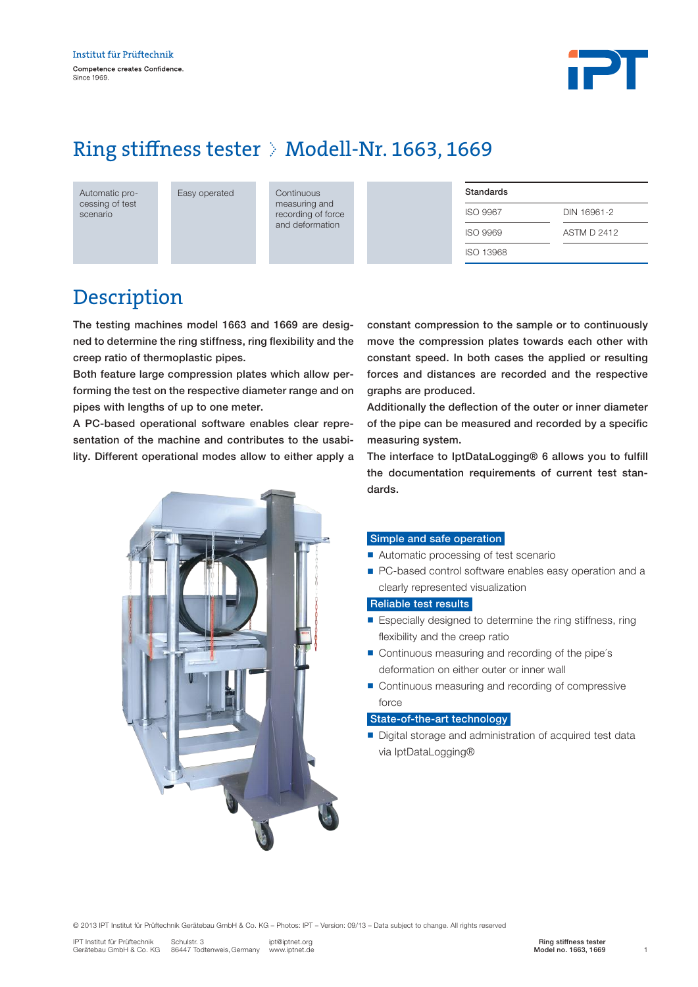

# Ring stiffness tester  $\Diamond$  Modell-Nr. 1663, 1669

Automatic processing of test scenario

Easy operated Continuous

measuring and recording of force and deformation

| Standards        |                    |
|------------------|--------------------|
| <b>ISO 9967</b>  | DIN 16961-2        |
| <b>ISO 9969</b>  | <b>ASTM D 2412</b> |
| <b>ISO 13968</b> |                    |

# Description

The testing machines model 1663 and 1669 are designed to determine the ring stiffness, ring flexibility and the creep ratio of thermoplastic pipes.

Both feature large compression plates which allow performing the test on the respective diameter range and on pipes with lengths of up to one meter.

A PC-based operational software enables clear representation of the machine and contributes to the usability. Different operational modes allow to either apply a



constant compression to the sample or to continuously move the compression plates towards each other with constant speed. In both cases the applied or resulting forces and distances are recorded and the respective graphs are produced.

Additionally the deflection of the outer or inner diameter of the pipe can be measured and recorded by a specific measuring system.

The interface to IptDataLogging® 6 allows you to fulfill the documentation requirements of current test standards.

### Simple and safe operation

- Automatic processing of test scenario
- PC-based control software enables easy operation and a clearly represented visualization

#### Reliable test results

- $\blacksquare$  Especially designed to determine the ring stiffness, ring flexibility and the creep ratio
- $\blacksquare$  Continuous measuring and recording of the pipe's deformation on either outer or inner wall
- Continuous measuring and recording of compressive force

### State-of-the-art technology

■ Digital storage and administration of acquired test data via IptDataLogging®

© 2013 IPT Institut für Prüftechnik Gerätebau GmbH & Co. KG – Photos: IPT – Version: 09/13 – Data subject to change. All rights reserved